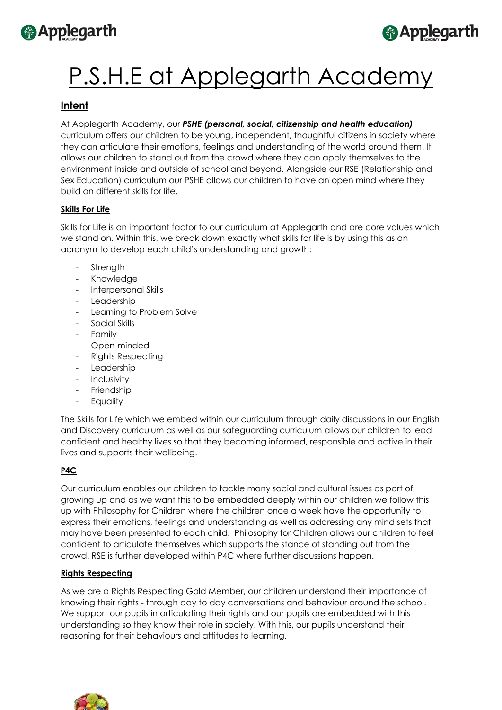



# P.S.H.E at Applegarth Academy

# **Intent**

# At Applegarth Academy, our *PSHE (personal, social, citizenship and health education)* curriculum offers our children to be young, independent, thoughtful citizens in society where they can articulate their emotions, feelings and understanding of the world around them. It allows our children to stand out from the crowd where they can apply themselves to the environment inside and outside of school and beyond. Alongside our RSE (Relationship and Sex Education) curriculum our PSHE allows our children to have an open mind where they build on different skills for life.

# **Skills For Life**

Skills for Life is an important factor to our curriculum at Applegarth and are core values which we stand on. Within this, we break down exactly what skills for life is by using this as an acronym to develop each child's understanding and growth:

- **Strength**
- Knowledge
- Interpersonal Skills
- **Leadership**
- Learning to Problem Solve
- Social Skills
- **Family**
- Open-minded
- Rights Respecting
- **Leadership**
- **Inclusivity**
- **Friendship**
- Equality

The Skills for Life which we embed within our curriculum through daily discussions in our English and Discovery curriculum as well as our safeguarding curriculum allows our children to lead confident and healthy lives so that they becoming informed, responsible and active in their lives and supports their wellbeing.

# **P4C**

Our curriculum enables our children to tackle many social and cultural issues as part of growing up and as we want this to be embedded deeply within our children we follow this up with Philosophy for Children where the children once a week have the opportunity to express their emotions, feelings and understanding as well as addressing any mind sets that may have been presented to each child. Philosophy for Children allows our children to feel confident to articulate themselves which supports the stance of standing out from the crowd. RSE is further developed within P4C where further discussions happen.

# **Rights Respecting**

As we are a Rights Respecting Gold Member, our children understand their importance of knowing their rights - through day to day conversations and behaviour around the school. We support our pupils in articulating their rights and our pupils are embedded with this understanding so they know their role in society. With this, our pupils understand their reasoning for their behaviours and attitudes to learning.

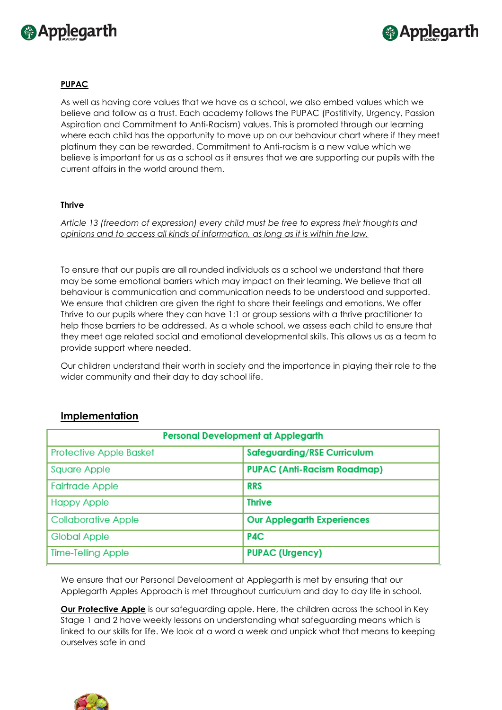# **<sup><sup>3</sup>** Applegarth</sup>



# **PUPAC**

As well as having core values that we have as a school, we also embed values which we believe and follow as a trust. Each academy follows the PUPAC (Postitivity, Urgency, Passion Aspiration and Commitment to Anti-Racism) values. This is promoted through our learning where each child has the opportunity to move up on our behaviour chart where if they meet platinum they can be rewarded. Commitment to Anti-racism is a new value which we believe is important for us as a school as it ensures that we are supporting our pupils with the current affairs in the world around them.

# **Thrive**

*Article 13 (freedom of expression) every child must be free to express their thoughts and opinions and to access all kinds of information, as long as it is within the law.*

To ensure that our pupils are all rounded individuals as a school we understand that there may be some emotional barriers which may impact on their learning. We believe that all behaviour is communication and communication needs to be understood and supported. We ensure that children are given the right to share their feelings and emotions. We offer Thrive to our pupils where they can have 1:1 or group sessions with a thrive practitioner to help those barriers to be addressed. As a whole school, we assess each child to ensure that they meet age related social and emotional developmental skills. This allows us as a team to provide support where needed.

Our children understand their worth in society and the importance in playing their role to the wider community and their day to day school life.

| <b>Personal Development at Applegarth</b> |                                    |  |
|-------------------------------------------|------------------------------------|--|
| <b>Protective Apple Basket</b>            | Safeguarding/RSE Curriculum        |  |
| Square Apple                              | <b>PUPAC (Anti-Racism Roadmap)</b> |  |
| <b>Fairtrade Apple</b>                    | <b>RRS</b>                         |  |
| <b>Happy Apple</b>                        | <b>Thrive</b>                      |  |
| <b>Collaborative Apple</b>                | <b>Our Applegarth Experiences</b>  |  |
| Global Apple                              | P4C                                |  |
| <b>Time-Telling Apple</b>                 | <b>PUPAC (Urgency)</b>             |  |

# **Implementation**

We ensure that our Personal Development at Applegarth is met by ensuring that our Applegarth Apples Approach is met throughout curriculum and day to day life in school.

**Our Protective Apple** is our safeguarding apple. Here, the children across the school in Key Stage 1 and 2 have weekly lessons on understanding what safeguarding means which is linked to our skills for life. We look at a word a week and unpick what that means to keeping ourselves safe in and

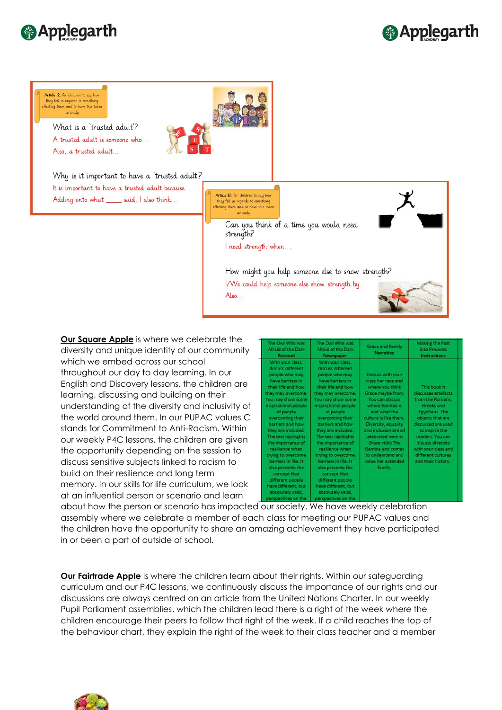





**Our Square Apple** is where we celebrate the diversity and unique identity of our community which we embed across our school throughout our day to day learning. In our English and Discovery lessons, the children are learning, discussing and building on their understanding of the diversity and inclusivity of the world around them. In our PUPAC values C stands for Commitment to Anti-Racism. Within our weekly P4C lessons, the children are given the opportunity depending on the session to discuss sensitive subjects linked to racism to build on their resilience and long term memory. In our skills for life curriculum, we look at an influential person or scenario and learn

| The Owl Who was<br><b>Afraid of the Dark</b><br><b>Recount</b>                                                                                                                                                                                                                                                                                                                                                                                                                           | The Owl Who was<br>Afraid of the Dark<br>Newspaper                                                                                                                                                                                                                                                                                                                                                                                                                                        | <b>Grace and Family</b><br><b>Narrative</b>                                                                                                                                                                                                                                                                                         | <b>Making the Past</b><br>into Presents<br><b>Instructions</b>                                                                                                                                                                                                         |  |
|------------------------------------------------------------------------------------------------------------------------------------------------------------------------------------------------------------------------------------------------------------------------------------------------------------------------------------------------------------------------------------------------------------------------------------------------------------------------------------------|-------------------------------------------------------------------------------------------------------------------------------------------------------------------------------------------------------------------------------------------------------------------------------------------------------------------------------------------------------------------------------------------------------------------------------------------------------------------------------------------|-------------------------------------------------------------------------------------------------------------------------------------------------------------------------------------------------------------------------------------------------------------------------------------------------------------------------------------|------------------------------------------------------------------------------------------------------------------------------------------------------------------------------------------------------------------------------------------------------------------------|--|
| With your class,<br>discuss different<br>people who may<br>have barriers in<br>their life and how<br>they may overcome.<br>You may show some<br>inspirational people<br>of people<br>overcoming their<br>barriers and how<br>they are included.<br>The text highlights<br>the importance of<br>resilience when<br>trying to overcome<br>barriers in life. It<br>also presents the<br>concept that<br>different people<br>have different, but<br>absolutely valid,<br>nerspectives on the | With your class,<br>discuss different<br>people who may<br>have barriers in<br>their life and how.<br>they may overcome.<br>You may show some<br>inspirational people<br>of people<br>overcoming their<br>barriers and how<br>they are included.<br>The text highlights<br>the importance of<br>resilience when<br>trying to overcome<br>barriers in life. It<br>also presents the<br>concept that<br>different people<br>have different, but<br>absolutely valid,<br>nersnectives on the | Discuss with your<br>class her race and<br>where you think<br>Grace maybe from.<br>You can discuss<br>where Gambia is<br>and what the<br>culture is like there.<br>Diversity, equality<br>and inclusion are all<br>celebrated here as<br>Grace visits The<br>Gambia and comes<br>to understand and<br>value her extended<br>family. | This book it<br>discusses artefacts<br>from the Romans.<br>Greeks and<br><b>Egyptians. The</b><br>objects that are<br>discussed are used<br>to inspire the<br>readers. You can<br>discuss diversity<br>with your class and<br>different cultures<br>and their history. |  |

about how the person or scenario has impacted our society. We have weekly celebration assembly where we celebrate a member of each class for meeting our PUPAC values and the children have the opportunity to share an amazing achievement they have participated in or been a part of outside of school.

**Our Fairtrade Apple** is where the children learn about their rights. Within our safeguarding curriculum and our P4C lessons, we continuously discuss the importance of our rights and our discussions are always centred on an article from the United Nations Charter. In our weekly Pupil Parliament assemblies, which the children lead there is a right of the week where the children encourage their peers to follow that right of the week. If a child reaches the top of the behaviour chart, they explain the right of the week to their class teacher and a member

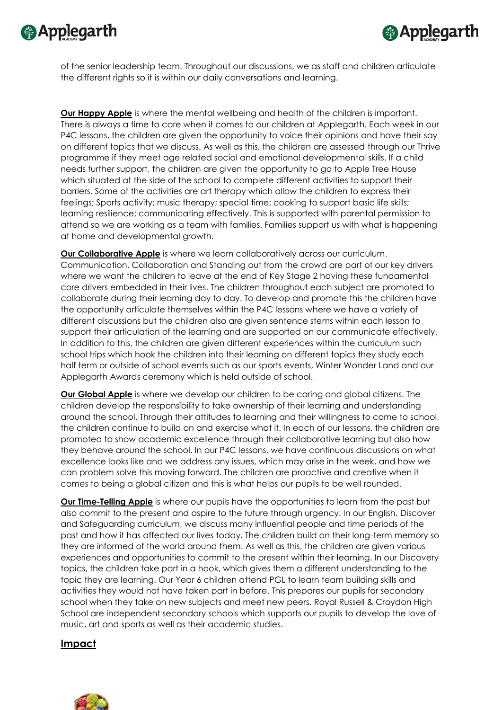



of the senior leadership team. Throughout our discussions, we as staff and children articulate the different rights so it is within our daily conversations and learning.

**Our Happy Apple** is where the mental wellbeing and health of the children is important. There is always a time to care when it comes to our children at Applegarth. Each week in our P4C lessons, the children are given the opportunity to voice their opinions and have their say on different topics that we discuss. As well as this, the children are assessed through our Thrive programme if they meet age related social and emotional developmental skills. If a child needs further support, the children are given the opportunity to go to Apple Tree House which situated at the side of the school to complete different activities to support their barriers. Some of the activities are art therapy which allow the children to express their feelings; Sports activity; music therapy; special time; cooking to support basic life skills; learning resilience; communicating effectively. This is supported with parental permission to attend so we are working as a team with families. Families support us with what is happening at home and developmental growth.

**Our Collaborative Apple** is where we learn collaboratively across our curriculum. Communication, Collaboration and Standing out from the crowd are part of our key drivers where we want the children to leave at the end of Key Stage 2 having these fundamental core drivers embedded in their lives. The children throughout each subject are promoted to collaborate during their learning day to day. To develop and promote this the children have the opportunity articulate themselves within the P4C lessons where we have a variety of different discussions but the children also are given sentence stems within each lesson to support their articulation of the learning and are supported on our communicate effectively. In addition to this, the children are given different experiences within the curriculum such school trips which hook the children into their learning on different topics they study each half term or outside of school events such as our sports events, Winter Wonder Land and our Applegarth Awards ceremony which is held outside of school.

**Our Global Apple** is where we develop our children to be caring and global citizens. The children develop the responsibility to take ownership of their learning and understanding around the school. Through their attitudes to learning and their willingness to come to school, the children continue to build on and exercise what it. In each of our lessons, the children are promoted to show academic excellence through their collaborative learning but also how they behave around the school. In our P4C lessons, we have continuous discussions on what excellence looks like and we address any issues, which may arise in the week, and how we can problem solve this moving forward. The children are proactive and creative when it comes to being a global citizen and this is what helps our pupils to be well rounded.

**Our Time-Telling Apple** is where our pupils have the opportunities to learn from the past but also commit to the present and aspire to the future through urgency. In our English, Discover and Safeguarding curriculum, we discuss many influential people and time periods of the past and how it has affected our lives today. The children build on their long-term memory so they are informed of the world around them. As well as this, the children are given various experiences and opportunities to commit to the present within their learning. In our Discovery topics, the children take part in a hook, which gives them a different understanding to the topic they are learning. Our Year 6 children attend PGL to learn team building skills and activities they would not have taken part in before. This prepares our pupils for secondary school when they take on new subjects and meet new peers. Royal Russell & Croydon High School are independent secondary schools which supports our pupils to develop the love of music, art and sports as well as their academic studies.

# **Impact**